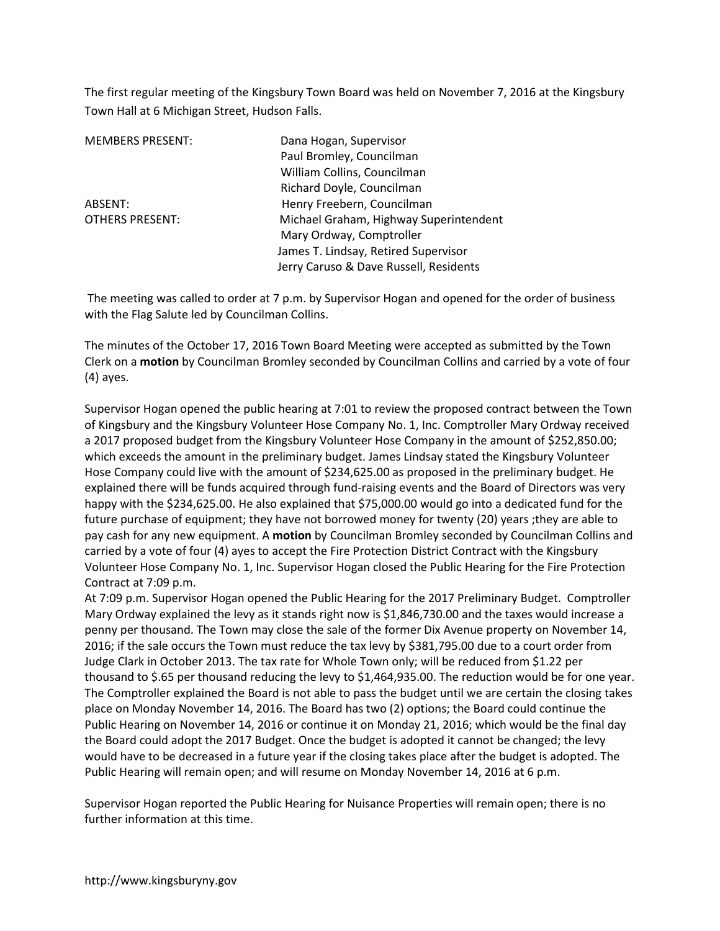The first regular meeting of the Kingsbury Town Board was held on November 7, 2016 at the Kingsbury Town Hall at 6 Michigan Street, Hudson Falls.

| <b>MEMBERS PRESENT:</b> |  |
|-------------------------|--|
|                         |  |

Dana Hogan, Supervisor Paul Bromley, Councilman William Collins, Councilman Richard Doyle, Councilman ABSENT: Henry Freebern, Councilman OTHERS PRESENT: Michael Graham, Highway Superintendent Mary Ordway, Comptroller James T. Lindsay, Retired Supervisor Jerry Caruso & Dave Russell, Residents

 The meeting was called to order at 7 p.m. by Supervisor Hogan and opened for the order of business with the Flag Salute led by Councilman Collins.

The minutes of the October 17, 2016 Town Board Meeting were accepted as submitted by the Town Clerk on a **motion** by Councilman Bromley seconded by Councilman Collins and carried by a vote of four (4) ayes.

Supervisor Hogan opened the public hearing at 7:01 to review the proposed contract between the Town of Kingsbury and the Kingsbury Volunteer Hose Company No. 1, Inc. Comptroller Mary Ordway received a 2017 proposed budget from the Kingsbury Volunteer Hose Company in the amount of \$252,850.00; which exceeds the amount in the preliminary budget. James Lindsay stated the Kingsbury Volunteer Hose Company could live with the amount of \$234,625.00 as proposed in the preliminary budget. He explained there will be funds acquired through fund-raising events and the Board of Directors was very happy with the \$234,625.00. He also explained that \$75,000.00 would go into a dedicated fund for the future purchase of equipment; they have not borrowed money for twenty (20) years ;they are able to pay cash for any new equipment. A **motion** by Councilman Bromley seconded by Councilman Collins and carried by a vote of four (4) ayes to accept the Fire Protection District Contract with the Kingsbury Volunteer Hose Company No. 1, Inc. Supervisor Hogan closed the Public Hearing for the Fire Protection Contract at 7:09 p.m.

At 7:09 p.m. Supervisor Hogan opened the Public Hearing for the 2017 Preliminary Budget. Comptroller Mary Ordway explained the levy as it stands right now is \$1,846,730.00 and the taxes would increase a penny per thousand. The Town may close the sale of the former Dix Avenue property on November 14, 2016; if the sale occurs the Town must reduce the tax levy by \$381,795.00 due to a court order from Judge Clark in October 2013. The tax rate for Whole Town only; will be reduced from \$1.22 per thousand to \$.65 per thousand reducing the levy to \$1,464,935.00. The reduction would be for one year. The Comptroller explained the Board is not able to pass the budget until we are certain the closing takes place on Monday November 14, 2016. The Board has two (2) options; the Board could continue the Public Hearing on November 14, 2016 or continue it on Monday 21, 2016; which would be the final day the Board could adopt the 2017 Budget. Once the budget is adopted it cannot be changed; the levy would have to be decreased in a future year if the closing takes place after the budget is adopted. The Public Hearing will remain open; and will resume on Monday November 14, 2016 at 6 p.m.

Supervisor Hogan reported the Public Hearing for Nuisance Properties will remain open; there is no further information at this time.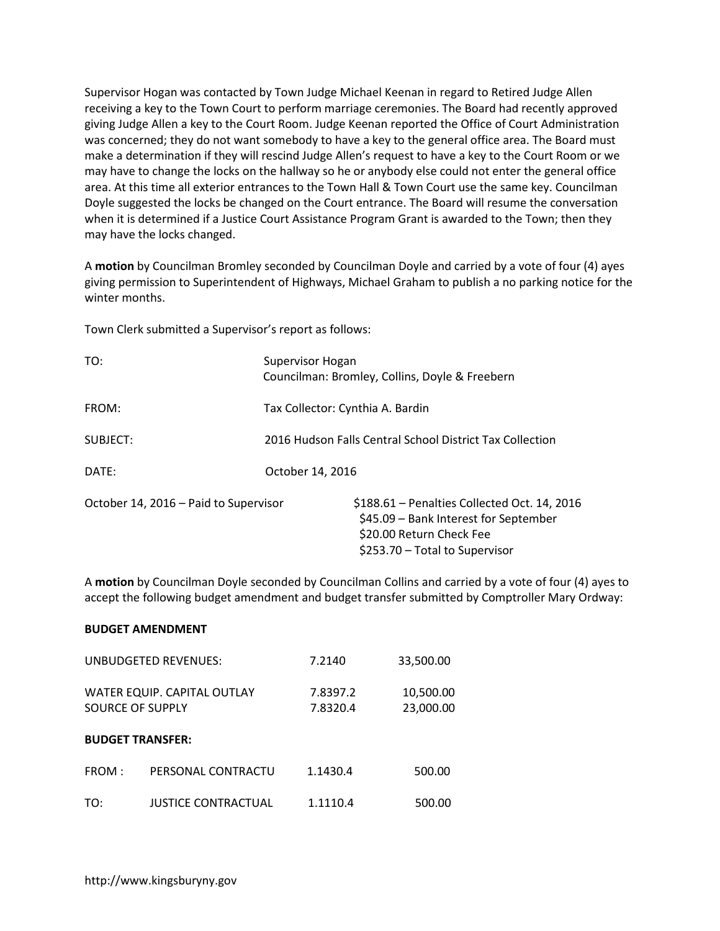Supervisor Hogan was contacted by Town Judge Michael Keenan in regard to Retired Judge Allen receiving a key to the Town Court to perform marriage ceremonies. The Board had recently approved giving Judge Allen a key to the Court Room. Judge Keenan reported the Office of Court Administration was concerned; they do not want somebody to have a key to the general office area. The Board must make a determination if they will rescind Judge Allen's request to have a key to the Court Room or we may have to change the locks on the hallway so he or anybody else could not enter the general office area. At this time all exterior entrances to the Town Hall & Town Court use the same key. Councilman Doyle suggested the locks be changed on the Court entrance. The Board will resume the conversation when it is determined if a Justice Court Assistance Program Grant is awarded to the Town; then they may have the locks changed.

A **motion** by Councilman Bromley seconded by Councilman Doyle and carried by a vote of four (4) ayes giving permission to Superintendent of Highways, Michael Graham to publish a no parking notice for the winter months.

Town Clerk submitted a Supervisor's report as follows:

| TO:                                   | Supervisor Hogan<br>Councilman: Bromley, Collins, Doyle & Freebern                                                                                   |  |  |
|---------------------------------------|------------------------------------------------------------------------------------------------------------------------------------------------------|--|--|
| FROM:                                 | Tax Collector: Cynthia A. Bardin                                                                                                                     |  |  |
| SUBJECT:                              | 2016 Hudson Falls Central School District Tax Collection                                                                                             |  |  |
| DATF:                                 | October 14, 2016                                                                                                                                     |  |  |
| October 14, 2016 – Paid to Supervisor | $$188.61 -$ Penalties Collected Oct. 14, 2016<br>\$45.09 – Bank Interest for September<br>\$20.00 Return Check Fee<br>\$253.70 - Total to Supervisor |  |  |

A **motion** by Councilman Doyle seconded by Councilman Collins and carried by a vote of four (4) ayes to accept the following budget amendment and budget transfer submitted by Comptroller Mary Ordway:

## **BUDGET AMENDMENT**

| UNBUDGETED REVENUES:                                   |                            | 7.2140               | 33,500.00              |
|--------------------------------------------------------|----------------------------|----------------------|------------------------|
| WATER EQUIP. CAPITAL OUTLAY<br><b>SOURCE OF SUPPLY</b> |                            | 7.8397.2<br>7.8320.4 | 10,500.00<br>23,000.00 |
|                                                        | <b>BUDGET TRANSFER:</b>    |                      |                        |
| FROM:                                                  | PERSONAL CONTRACTU         | 1.1430.4             | 500.00                 |
| TO:                                                    | <b>JUSTICE CONTRACTUAL</b> | 1.1110.4             | 500.00                 |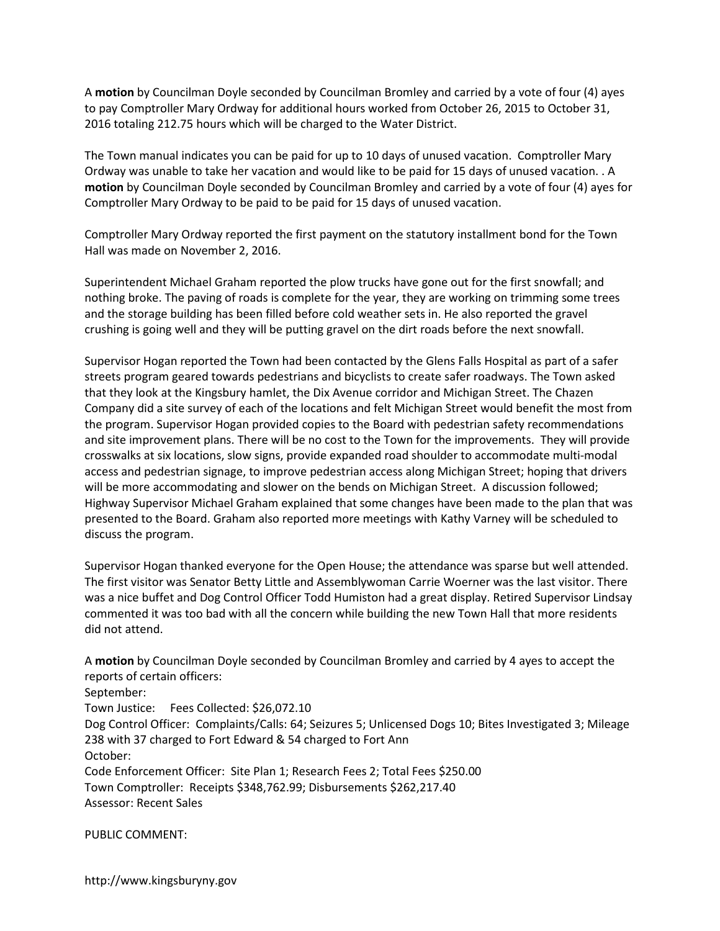A **motion** by Councilman Doyle seconded by Councilman Bromley and carried by a vote of four (4) ayes to pay Comptroller Mary Ordway for additional hours worked from October 26, 2015 to October 31, 2016 totaling 212.75 hours which will be charged to the Water District.

The Town manual indicates you can be paid for up to 10 days of unused vacation. Comptroller Mary Ordway was unable to take her vacation and would like to be paid for 15 days of unused vacation. . A **motion** by Councilman Doyle seconded by Councilman Bromley and carried by a vote of four (4) ayes for Comptroller Mary Ordway to be paid to be paid for 15 days of unused vacation.

Comptroller Mary Ordway reported the first payment on the statutory installment bond for the Town Hall was made on November 2, 2016.

Superintendent Michael Graham reported the plow trucks have gone out for the first snowfall; and nothing broke. The paving of roads is complete for the year, they are working on trimming some trees and the storage building has been filled before cold weather sets in. He also reported the gravel crushing is going well and they will be putting gravel on the dirt roads before the next snowfall.

Supervisor Hogan reported the Town had been contacted by the Glens Falls Hospital as part of a safer streets program geared towards pedestrians and bicyclists to create safer roadways. The Town asked that they look at the Kingsbury hamlet, the Dix Avenue corridor and Michigan Street. The Chazen Company did a site survey of each of the locations and felt Michigan Street would benefit the most from the program. Supervisor Hogan provided copies to the Board with pedestrian safety recommendations and site improvement plans. There will be no cost to the Town for the improvements. They will provide crosswalks at six locations, slow signs, provide expanded road shoulder to accommodate multi-modal access and pedestrian signage, to improve pedestrian access along Michigan Street; hoping that drivers will be more accommodating and slower on the bends on Michigan Street. A discussion followed; Highway Supervisor Michael Graham explained that some changes have been made to the plan that was presented to the Board. Graham also reported more meetings with Kathy Varney will be scheduled to discuss the program.

Supervisor Hogan thanked everyone for the Open House; the attendance was sparse but well attended. The first visitor was Senator Betty Little and Assemblywoman Carrie Woerner was the last visitor. There was a nice buffet and Dog Control Officer Todd Humiston had a great display. Retired Supervisor Lindsay commented it was too bad with all the concern while building the new Town Hall that more residents did not attend.

A **motion** by Councilman Doyle seconded by Councilman Bromley and carried by 4 ayes to accept the reports of certain officers: September: Town Justice: Fees Collected: \$26,072.10 Dog Control Officer: Complaints/Calls: 64; Seizures 5; Unlicensed Dogs 10; Bites Investigated 3; Mileage 238 with 37 charged to Fort Edward & 54 charged to Fort Ann October: Code Enforcement Officer: Site Plan 1; Research Fees 2; Total Fees \$250.00 Town Comptroller: Receipts \$348,762.99; Disbursements \$262,217.40 Assessor: Recent Sales

PUBLIC COMMENT: